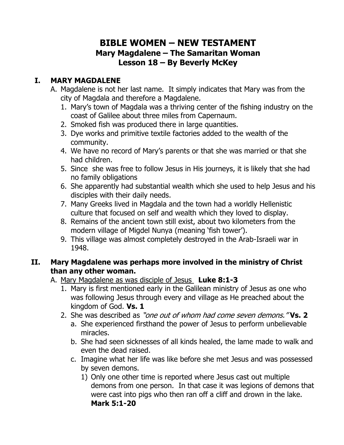# **BIBLE WOMEN – NEW TESTAMENT Mary Magdalene – The Samaritan Woman Lesson 18 – By Beverly McKey**

#### **I. MARY MAGDALENE**

- A. Magdalene is not her last name. It simply indicates that Mary was from the city of Magdala and therefore a Magdalene.
	- 1. Mary's town of Magdala was a thriving center of the fishing industry on the coast of Galilee about three miles from Capernaum.
	- 2. Smoked fish was produced there in large quantities.
	- 3. Dye works and primitive textile factories added to the wealth of the community.
	- 4. We have no record of Mary's parents or that she was married or that she had children.
	- 5. Since she was free to follow Jesus in His journeys, it is likely that she had no family obligations
	- 6. She apparently had substantial wealth which she used to help Jesus and his disciples with their daily needs.
	- 7. Many Greeks lived in Magdala and the town had a worldly Hellenistic culture that focused on self and wealth which they loved to display.
	- 8. Remains of the ancient town still exist, about two kilometers from the modern village of Migdel Nunya (meaning 'fish tower').
	- 9. This village was almost completely destroyed in the Arab-Israeli war in 1948.

## **II. Mary Magdalene was perhaps more involved in the ministry of Christ than any other woman.**

- A. Mary Magdalene as was disciple of Jesus **Luke 8:1-3**
	- 1. Mary is first mentioned early in the Galilean ministry of Jesus as one who was following Jesus through every and village as He preached about the kingdom of God. **Vs. 1**
	- 2. She was described as "one out of whom had come seven demons." **Vs. 2**
		- a. She experienced firsthand the power of Jesus to perform unbelievable miracles.
		- b. She had seen sicknesses of all kinds healed, the lame made to walk and even the dead raised.
		- c. Imagine what her life was like before she met Jesus and was possessed by seven demons.
			- 1) Only one other time is reported where Jesus cast out multiple demons from one person. In that case it was legions of demons that were cast into pigs who then ran off a cliff and drown in the lake. **Mark 5:1-20**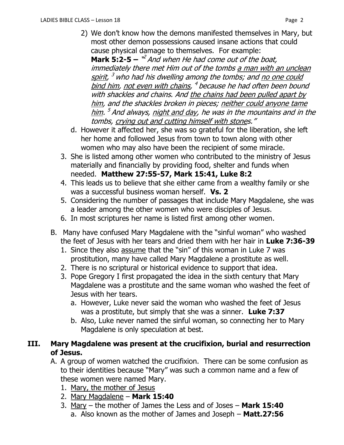2) We don't know how the demons manifested themselves in Mary, but most other demon possessions caused insane actions that could cause physical damage to themselves. For example:

**Mark 5:2-5 –** <sup>"2</sup> And when He had come out of the boat, immediately there met Him out of the tombs a man with an unclean <u>spirit</u>, <sup>3</sup> who had his dwelling among the tombs; and <u>no one could</u> bind him, not even with chains, <sup>4</sup> because he had often been bound with shackles and chains. And the chains had been pulled apart by him, and the shackles broken in pieces; neither could anyone tame <u>him</u>. <sup>5</sup> And always, <u>night and day</u>, he was in the mountains and in the tombs, crying out and cutting himself with stones."

- d. However it affected her, she was so grateful for the liberation, she left her home and followed Jesus from town to town along with other women who may also have been the recipient of some miracle.
- 3. She is listed among other women who contributed to the ministry of Jesus materially and financially by providing food, shelter and funds when needed. **Matthew 27:55-57, Mark 15:41, Luke 8:2**
- 4. This leads us to believe that she either came from a wealthy family or she was a successful business woman herself. **Vs. 2**
- 5. Considering the number of passages that include Mary Magdalene, she was a leader among the other women who were disciples of Jesus.
- 6. In most scriptures her name is listed first among other women.
- B. Many have confused Mary Magdalene with the "sinful woman" who washed the feet of Jesus with her tears and dried them with her hair in **Luke 7:36-39**
	- 1. Since they also assume that the "sin" of this woman in Luke 7 was prostitution, many have called Mary Magdalene a prostitute as well.
	- 2. There is no scriptural or historical evidence to support that idea.
	- 3. Pope Gregory I first propagated the idea in the sixth century that Mary Magdalene was a prostitute and the same woman who washed the feet of Jesus with her tears.
		- a. However, Luke never said the woman who washed the feet of Jesus was a prostitute, but simply that she was a sinner. **Luke 7:37**
		- b. Also, Luke never named the sinful woman, so connecting her to Mary Magdalene is only speculation at best.

## **III. Mary Magdalene was present at the crucifixion, burial and resurrection of Jesus.**

- A. A group of women watched the crucifixion. There can be some confusion as to their identities because "Mary" was such a common name and a few of these women were named Mary.
	- 1. Mary, the mother of Jesus
	- 2. Mary Magdalene **Mark 15:40**
	- 3. Mary the mother of James the Less and of Joses **Mark 15:40**  a. Also known as the mother of James and Joseph – **Matt.27:56**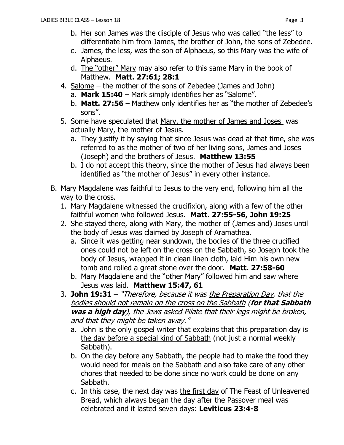- b. Her son James was the disciple of Jesus who was called "the less" to differentiate him from James, the brother of John, the sons of Zebedee.
- c. James, the less, was the son of Alphaeus, so this Mary was the wife of Alphaeus.
- d. The "other" Mary may also refer to this same Mary in the book of Matthew. **Matt. 27:61; 28:1**
- 4. Salome the mother of the sons of Zebedee (James and John)
	- a. **Mark 15:40** Mark simply identifies her as "Salome".
	- b. **Matt. 27:56** Matthew only identifies her as "the mother of Zebedee's sons".
- 5. Some have speculated that Mary, the mother of James and Joses was actually Mary, the mother of Jesus.
	- a. They justify it by saying that since Jesus was dead at that time, she was referred to as the mother of two of her living sons, James and Joses (Joseph) and the brothers of Jesus. **Matthew 13:55**
	- b. I do not accept this theory, since the mother of Jesus had always been identified as "the mother of Jesus" in every other instance.
- B. Mary Magdalene was faithful to Jesus to the very end, following him all the way to the cross.
	- 1. Mary Magdalene witnessed the crucifixion, along with a few of the other faithful women who followed Jesus. **Matt. 27:55-56, John 19:25**
	- 2. She stayed there, along with Mary, the mother of (James and) Joses until the body of Jesus was claimed by Joseph of Aramathea.
		- a. Since it was getting near sundown, the bodies of the three crucified ones could not be left on the cross on the Sabbath, so Joseph took the body of Jesus, wrapped it in clean linen cloth, laid Him his own new tomb and rolled a great stone over the door. **Matt. 27:58-60**
		- b. Mary Magdalene and the "other Mary" followed him and saw where Jesus was laid. **Matthew 15:47, 61**
	- 3. **John 19:31**  "Therefore, because it was the Preparation Day, that the bodies should not remain on the cross on the Sabbath (**for that Sabbath was a high day**), the Jews asked Pilate that their legs might be broken, and that they might be taken away."
		- a. John is the only gospel writer that explains that this preparation day is the day before a special kind of Sabbath (not just a normal weekly Sabbath).
		- b. On the day before any Sabbath, the people had to make the food they would need for meals on the Sabbath and also take care of any other chores that needed to be done since no work could be done on any Sabbath.
		- c. In this case, the next day was the first day of The Feast of Unleavened Bread, which always began the day after the Passover meal was celebrated and it lasted seven days: **Leviticus 23:4-8**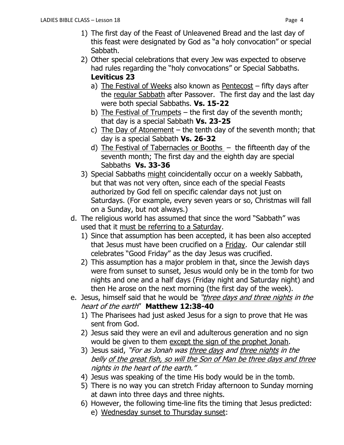- 1) The first day of the Feast of Unleavened Bread and the last day of this feast were designated by God as "a holy convocation" or special Sabbath.
- 2) Other special celebrations that every Jew was expected to observe had rules regarding the "holy convocations" or Special Sabbaths. **Leviticus 23**
	- a) The Festival of Weeks also known as Pentecost fifty days after the regular Sabbath after Passover. The first day and the last day were both special Sabbaths. **Vs. 15-22**
	- b) The Festival of Trumpets the first day of the seventh month; that day is a special Sabbath **Vs. 23-25**
	- c) The Day of Atonement the tenth day of the seventh month; that day is a special Sabbath **Vs. 26-32**
	- d) The Festival of Tabernacles or Booths the fifteenth day of the seventh month; The first day and the eighth day are special Sabbaths **Vs. 33-36**
- 3) Special Sabbaths might coincidentally occur on a weekly Sabbath, but that was not very often, since each of the special Feasts authorized by God fell on specific calendar days not just on Saturdays. (For example, every seven years or so, Christmas will fall on a Sunday, but not always.)
- d. The religious world has assumed that since the word "Sabbath" was used that it must be referring to a Saturday.
	- 1) Since that assumption has been accepted, it has been also accepted that Jesus must have been crucified on a Friday. Our calendar still celebrates "Good Friday" as the day Jesus was crucified.
	- 2) This assumption has a major problem in that, since the Jewish days were from sunset to sunset, Jesus would only be in the tomb for two nights and one and a half days (Friday night and Saturday night) and then He arose on the next morning (the first day of the week).
- e. Jesus, himself said that he would be "three days and three nights in the heart of the earth" **Matthew 12:38-40**
	- 1) The Pharisees had just asked Jesus for a sign to prove that He was sent from God.
	- 2) Jesus said they were an evil and adulterous generation and no sign would be given to them except the sign of the prophet Jonah.
	- 3) Jesus said, "For as Jonah was three days and three nights in the belly of the great fish, so will the Son of Man be three days and three nights in the heart of the earth."
	- 4) Jesus was speaking of the time His body would be in the tomb.
	- 5) There is no way you can stretch Friday afternoon to Sunday morning at dawn into three days and three nights.
	- 6) However, the following time-line fits the timing that Jesus predicted:
		- e) Wednesday sunset to Thursday sunset: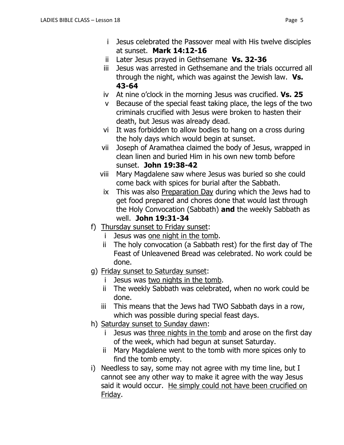- i Jesus celebrated the Passover meal with His twelve disciples at sunset. **Mark 14:12-16**
- ii Later Jesus prayed in Gethsemane **Vs. 32-36**
- iii Jesus was arrested in Gethsemane and the trials occurred all through the night, which was against the Jewish law. **Vs. 43-64**
- iv At nine o'clock in the morning Jesus was crucified. **Vs. 25**
- v Because of the special feast taking place, the legs of the two criminals crucified with Jesus were broken to hasten their death, but Jesus was already dead.
- vi It was forbidden to allow bodies to hang on a cross during the holy days which would begin at sunset.
- vii Joseph of Aramathea claimed the body of Jesus, wrapped in clean linen and buried Him in his own new tomb before sunset. **John 19:38-42**
- viii Mary Magdalene saw where Jesus was buried so she could come back with spices for burial after the Sabbath.
- ix This was also Preparation Day during which the Jews had to get food prepared and chores done that would last through the Holy Convocation (Sabbath) **and** the weekly Sabbath as well. **John 19:31-34**
- f) Thursday sunset to Friday sunset:
	- i Jesus was one night in the tomb.
	- ii The holy convocation (a Sabbath rest) for the first day of The Feast of Unleavened Bread was celebrated. No work could be done.
- g) Friday sunset to Saturday sunset:
	- Jesus was two nights in the tomb.
	- ii The weekly Sabbath was celebrated, when no work could be done.
	- iii This means that the Jews had TWO Sabbath days in a row, which was possible during special feast days.
- h) Saturday sunset to Sunday dawn:
	- i Jesus was three nights in the tomb and arose on the first day of the week, which had begun at sunset Saturday.
	- ii Mary Magdalene went to the tomb with more spices only to find the tomb empty.
- i) Needless to say, some may not agree with my time line, but I cannot see any other way to make it agree with the way Jesus said it would occur. He simply could not have been crucified on Friday.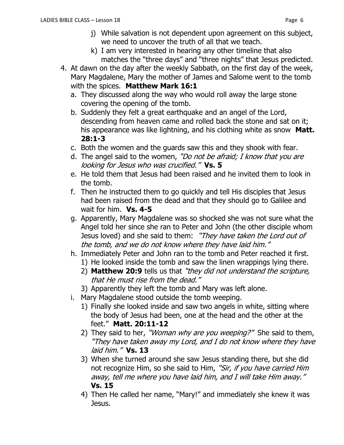- k) I am very interested in hearing any other timeline that also matches the "three days" and "three nights" that Jesus predicted.
- 4. At dawn on the day after the weekly Sabbath, on the first day of the week, Mary Magdalene, Mary the mother of James and Salome went to the tomb with the spices. **Matthew Mark 16:1**
	- a. They discussed along the way who would roll away the large stone covering the opening of the tomb.
	- b. Suddenly they felt a great earthquake and an angel of the Lord, descending from heaven came and rolled back the stone and sat on it; his appearance was like lightning, and his clothing white as snow **Matt. 28:1-3**
	- c. Both the women and the guards saw this and they shook with fear.
	- d. The angel said to the women, "Do not be afraid; I know that you are looking for Jesus who was crucified." **Vs. 5**
	- e. He told them that Jesus had been raised and he invited them to look in the tomb.
	- f. Then he instructed them to go quickly and tell His disciples that Jesus had been raised from the dead and that they should go to Galilee and wait for him. **Vs. 4-5**
	- g. Apparently, Mary Magdalene was so shocked she was not sure what the Angel told her since she ran to Peter and John (the other disciple whom Jesus loved) and she said to them: "They have taken the Lord out of the tomb, and we do not know where they have laid him."
	- h. Immediately Peter and John ran to the tomb and Peter reached it first.
		- 1) He looked inside the tomb and saw the linen wrappings lying there.
		- 2) **Matthew 20:9** tells us that "they did not understand the scripture, that He must rise from the dead."
		- 3) Apparently they left the tomb and Mary was left alone.
	- i. Mary Magdalene stood outside the tomb weeping.
		- 1) Finally she looked inside and saw two angels in white, sitting where the body of Jesus had been, one at the head and the other at the feet." **Matt. 20:11-12**
		- 2) They said to her, "Woman why are you weeping?" She said to them, "They have taken away my Lord, and I do not know where they have laid him." **Vs. 13**
		- 3) When she turned around she saw Jesus standing there, but she did not recognize Him, so she said to Him, "Sir, if you have carried Him away, tell me where you have laid him, and I will take Him away." **Vs. 15**
		- 4) Then He called her name, "Mary!" and immediately she knew it was Jesus.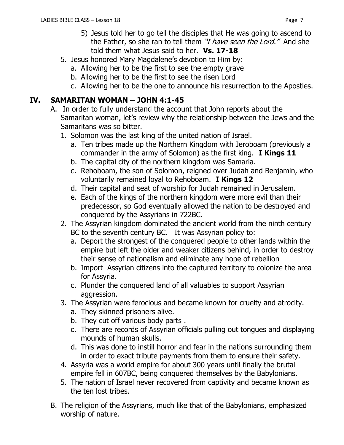- 5) Jesus told her to go tell the disciples that He was going to ascend to the Father, so she ran to tell them "I have seen the Lord." And she told them what Jesus said to her. **Vs. 17-18**
- 5. Jesus honored Mary Magdalene's devotion to Him by:
	- a. Allowing her to be the first to see the empty grave
	- b. Allowing her to be the first to see the risen Lord
	- c. Allowing her to be the one to announce his resurrection to the Apostles.

# **IV. SAMARITAN WOMAN – JOHN 4:1-45**

- A. In order to fully understand the account that John reports about the Samaritan woman, let's review why the relationship between the Jews and the Samaritans was so bitter.
	- 1. Solomon was the last king of the united nation of Israel.
		- a. Ten tribes made up the Northern Kingdom with Jeroboam (previously a commander in the army of Solomon) as the first king. **I Kings 11**
		- b. The capital city of the northern kingdom was Samaria.
		- c. Rehoboam, the son of Solomon, reigned over Judah and Benjamin, who voluntarily remained loyal to Rehoboam. **I Kings 12**
		- d. Their capital and seat of worship for Judah remained in Jerusalem.
		- e. Each of the kings of the northern kingdom were more evil than their predecessor, so God eventually allowed the nation to be destroyed and conquered by the Assyrians in 722BC.
	- 2. The Assyrian kingdom dominated the ancient world from the ninth century BC to the seventh century BC. It was Assyrian policy to:
		- a. Deport the strongest of the conquered people to other lands within the empire but left the older and weaker citizens behind, in order to destroy their sense of nationalism and eliminate any hope of rebellion
		- b. Import Assyrian citizens into the captured territory to colonize the area for Assyria.
		- c. Plunder the conquered land of all valuables to support Assyrian aggression.
	- 3. The Assyrian were ferocious and became known for cruelty and atrocity.
		- a. They skinned prisoners alive.
		- b. They cut off various body parts .
		- c. There are records of Assyrian officials pulling out tongues and displaying mounds of human skulls.
		- d. This was done to instill horror and fear in the nations surrounding them in order to exact tribute payments from them to ensure their safety.
	- 4. Assyria was a world empire for about 300 years until finally the brutal empire fell in 607BC, being conquered themselves by the Babylonians.
	- 5. The nation of Israel never recovered from captivity and became known as the ten lost tribes.
- B. The religion of the Assyrians, much like that of the Babylonians, emphasized worship of nature.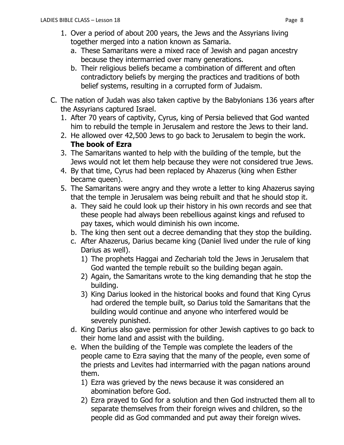- 1. Over a period of about 200 years, the Jews and the Assyrians living together merged into a nation known as Samaria.
	- a. These Samaritans were a mixed race of Jewish and pagan ancestry because they intermarried over many generations.
	- b. Their religious beliefs became a combination of different and often contradictory beliefs by merging the practices and traditions of both belief systems, resulting in a corrupted form of Judaism.
- C. The nation of Judah was also taken captive by the Babylonians 136 years after the Assyrians captured Israel.
	- 1. After 70 years of captivity, Cyrus, king of Persia believed that God wanted him to rebuild the temple in Jerusalem and restore the Jews to their land.
	- 2. He allowed over 42,500 Jews to go back to Jerusalem to begin the work. **The book of Ezra**
	- 3. The Samaritans wanted to help with the building of the temple, but the Jews would not let them help because they were not considered true Jews.
	- 4. By that time, Cyrus had been replaced by Ahazerus (king when Esther became queen).
	- 5. The Samaritans were angry and they wrote a letter to king Ahazerus saying that the temple in Jerusalem was being rebuilt and that he should stop it.
		- a. They said he could look up their history in his own records and see that these people had always been rebellious against kings and refused to pay taxes, which would diminish his own income.
		- b. The king then sent out a decree demanding that they stop the building.
		- c. After Ahazerus, Darius became king (Daniel lived under the rule of king Darius as well).
			- 1) The prophets Haggai and Zechariah told the Jews in Jerusalem that God wanted the temple rebuilt so the building began again.
			- 2) Again, the Samaritans wrote to the king demanding that he stop the building.
			- 3) King Darius looked in the historical books and found that King Cyrus had ordered the temple built, so Darius told the Samaritans that the building would continue and anyone who interfered would be severely punished.
		- d. King Darius also gave permission for other Jewish captives to go back to their home land and assist with the building.
		- e. When the building of the Temple was complete the leaders of the people came to Ezra saying that the many of the people, even some of the priests and Levites had intermarried with the pagan nations around them.
			- 1) Ezra was grieved by the news because it was considered an abomination before God.
			- 2) Ezra prayed to God for a solution and then God instructed them all to separate themselves from their foreign wives and children, so the people did as God commanded and put away their foreign wives.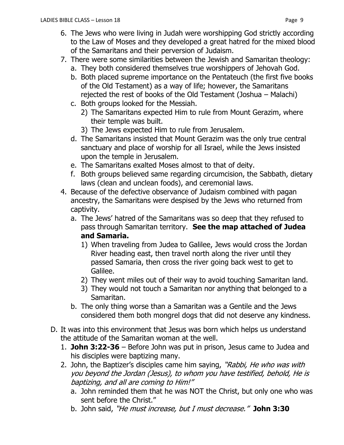- 6. The Jews who were living in Judah were worshipping God strictly according to the Law of Moses and they developed a great hatred for the mixed blood of the Samaritans and their perversion of Judaism.
- 7. There were some similarities between the Jewish and Samaritan theology:
	- a. They both considered themselves true worshippers of Jehovah God.
	- b. Both placed supreme importance on the Pentateuch (the first five books of the Old Testament) as a way of life; however, the Samaritans rejected the rest of books of the Old Testament (Joshua – Malachi)
	- c. Both groups looked for the Messiah.
		- 2) The Samaritans expected Him to rule from Mount Gerazim, where their temple was built.
		- 3) The Jews expected Him to rule from Jerusalem.
	- d. The Samaritans insisted that Mount Gerazim was the only true central sanctuary and place of worship for all Israel, while the Jews insisted upon the temple in Jerusalem.
	- e. The Samaritans exalted Moses almost to that of deity.
	- f. Both groups believed same regarding circumcision, the Sabbath, dietary laws (clean and unclean foods), and ceremonial laws.
- 4. Because of the defective observance of Judaism combined with pagan ancestry, the Samaritans were despised by the Jews who returned from captivity.
	- a. The Jews' hatred of the Samaritans was so deep that they refused to pass through Samaritan territory. **See the map attached of Judea and Samaria.**
		- 1) When traveling from Judea to Galilee, Jews would cross the Jordan River heading east, then travel north along the river until they passed Samaria, then cross the river going back west to get to Galilee.
		- 2) They went miles out of their way to avoid touching Samaritan land.
		- 3) They would not touch a Samaritan nor anything that belonged to a Samaritan.
	- b. The only thing worse than a Samaritan was a Gentile and the Jews considered them both mongrel dogs that did not deserve any kindness.
- D. It was into this environment that Jesus was born which helps us understand the attitude of the Samaritan woman at the well.
	- 1. **John 3:22-36** Before John was put in prison, Jesus came to Judea and his disciples were baptizing many.
	- 2. John, the Baptizer's disciples came him saying, "Rabbi, He who was with you beyond the Jordan (Jesus), to whom you have testified, behold, He is baptizing, and all are coming to Him!"
		- a. John reminded them that he was NOT the Christ, but only one who was sent before the Christ."
		- b. John said, "He must increase, but I must decrease." **John 3:30**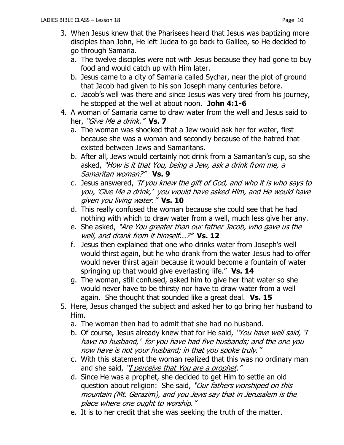- 3. When Jesus knew that the Pharisees heard that Jesus was baptizing more disciples than John, He left Judea to go back to Galilee, so He decided to go through Samaria.
	- a. The twelve disciples were not with Jesus because they had gone to buy food and would catch up with Him later.
	- b. Jesus came to a city of Samaria called Sychar, near the plot of ground that Jacob had given to his son Joseph many centuries before.
	- c. Jacob's well was there and since Jesus was very tired from his journey, he stopped at the well at about noon. **John 4:1-6**
- 4. A woman of Samaria came to draw water from the well and Jesus said to her, "Give Me a drink." **Vs. 7**
	- a. The woman was shocked that a Jew would ask her for water, first because she was a woman and secondly because of the hatred that existed between Jews and Samaritans.
	- b. After all, Jews would certainly not drink from a Samaritan's cup, so she asked, "How is it that You, being a Jew, ask a drink from me, a Samaritan woman?" **Vs. 9**
	- c. Jesus answered, 'If you knew the gift of God, and who it is who says to you, 'Give Me a drink,' you would have asked Him, and He would have given you living water." **Vs. 10**
	- d. This really confused the woman because she could see that he had nothing with which to draw water from a well, much less give her any.
	- e. She asked, "Are You greater than our father Jacob, who gave us the well, and drank from it himself...?" **Vs. 12**
	- f. Jesus then explained that one who drinks water from Joseph's well would thirst again, but he who drank from the water Jesus had to offer would never thirst again because it would become a fountain of water springing up that would give everlasting life." **Vs. 14**
	- g. The woman, still confused, asked him to give her that water so she would never have to be thirsty nor have to draw water from a well again. She thought that sounded like a great deal. **Vs. 15**
- 5. Here, Jesus changed the subject and asked her to go bring her husband to Him.
	- a. The woman then had to admit that she had no husband.
	- b. Of course, Jesus already knew that for He said, "You have well said, 'I have no husband,' for you have had five husbands; and the one you now have is not your husband; in that you spoke truly."
	- c. With this statement the woman realized that this was no ordinary man and she said, "I perceive that You are a prophet."
	- d. Since He was a prophet, she decided to get Him to settle an old question about religion: She said, "Our fathers worshiped on this mountain (Mt. Gerazim), and you Jews say that in Jerusalem is the place where one ought to worship."
	- e. It is to her credit that she was seeking the truth of the matter.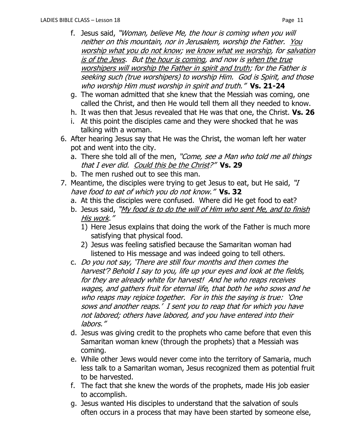- f. Jesus said, "Woman, believe Me, the hour is coming when you will neither on this mountain, nor in Jerusalem, worship the Father. You worship what you do not know; we know what we worship, for salvation is of the Jews. But the hour is coming, and now is when the true worshipers will worship the Father in spirit and truth; for the Father is seeking such (true worshipers) to worship Him. God is Spirit, and those who worship Him must worship in spirit and truth." **Vs. 21-24**
- g. The woman admitted that she knew that the Messiah was coming, one called the Christ, and then He would tell them all they needed to know.
- h. It was then that Jesus revealed that He was that one, the Christ. **Vs. 26**
- i. At this point the disciples came and they were shocked that he was talking with a woman.
- 6. After hearing Jesus say that He was the Christ, the woman left her water pot and went into the city.
	- a. There she told all of the men, "Come, see a Man who told me all things that I ever did. Could this be the Christ?" **Vs. 29**
	- b. The men rushed out to see this man.
- 7. Meantime, the disciples were trying to get Jesus to eat, but He said, "*I* have food to eat of which you do not know." **Vs. 32**
	- a. At this the disciples were confused. Where did He get food to eat?
	- b. Jesus said, "*My food is to do the will of Him who sent Me, and to finish* His work."
		- 1) Here Jesus explains that doing the work of the Father is much more satisfying that physical food.
		- 2) Jesus was feeling satisfied because the Samaritan woman had listened to His message and was indeed going to tell others.
	- c. Do you not say, 'There are still four months and then comes the harvest'? Behold I say to you, life up your eyes and look at the fields, for they are already white for harvest! And he who reaps receives wages, and gathers fruit for eternal life, that both he who sows and he who reaps may rejoice together. For in this the saying is true: 'One sows and another reaps.' I sent you to reap that for which you have not labored; others have labored, and you have entered into their labors."
	- d. Jesus was giving credit to the prophets who came before that even this Samaritan woman knew (through the prophets) that a Messiah was coming.
	- e. While other Jews would never come into the territory of Samaria, much less talk to a Samaritan woman, Jesus recognized them as potential fruit to be harvested.
	- f. The fact that she knew the words of the prophets, made His job easier to accomplish.
	- g. Jesus wanted His disciples to understand that the salvation of souls often occurs in a process that may have been started by someone else,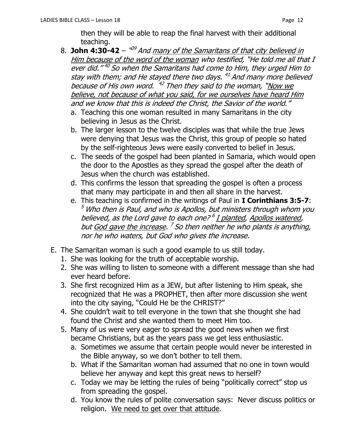then they will be able to reap the final harvest with their additional teaching.

- 8. **John 4:30-42**  $\frac{v^{39}}{2}$  *And <u>many of the Samaritans of that city believed in</u>* Him because of the word of the woman who testified, "He told me all that I ever did."<sup>40</sup> So when the Samaritans had come to Him, they urged Him to stay with them; and He stayed there two days. <sup>41</sup> And many more believed because of His own word. <sup>42</sup> Then they said to the woman, "<u>Now we</u> believe, not because of what you said, for we ourselves have heard Him and we know that this is indeed the Christ, the Savior of the world."
	- a. Teaching this one woman resulted in many Samaritans in the city believing in Jesus as the Christ.
	- b. The larger lesson to the twelve disciples was that while the true Jews were denying that Jesus was the Christ, this group of people so hated by the self-righteous Jews were easily converted to belief in Jesus.
	- c. The seeds of the gospel had been planted in Samaria, which would open the door to the Apostles as they spread the gospel after the death of Jesus when the church was established.
	- d. This confirms the lesson that spreading the gospel is often a process that many may participate in and then all share in the harvest.
	- e. This teaching is confirmed in the writings of Paul in **I Corinthians 3:5-7**:  $5$  Who then is Paul, and who is Apollos, but ministers through whom you believed, as the Lord gave to each one? <sup>6</sup> <u>I planted</u>, Apollos watered, but <u>God gave the increase</u>. <sup>7</sup> So then neither he who plants is anything, nor he who waters, but God who gives the increase.
- E. The Samaritan woman is such a good example to us still today.
	- 1. She was looking for the truth of acceptable worship.
	- 2. She was willing to listen to someone with a different message than she had ever heard before.
	- 3. She first recognized Him as a JEW, but after listening to Him speak, she recognized that He was a PROPHET, then after more discussion she went into the city saying, "Could He be the CHRIST?"
	- 4. She couldn't wait to tell everyone in the town that she thought she had found the Christ and she wanted them to meet Him too.
	- 5. Many of us were very eager to spread the good news when we first became Christians, but as the years pass we get less enthusiastic.
		- a. Sometimes we assume that certain people would never be interested in the Bible anyway, so we don't bother to tell them.
		- b. What if the Samaritan woman had assumed that no one in town would believe her anyway and kept this great news to herself?
		- c. Today we may be letting the rules of being "politically correct" stop us from spreading the gospel.
		- d. You know the rules of polite conversation says: Never discuss politics or religion. We need to get over that attitude.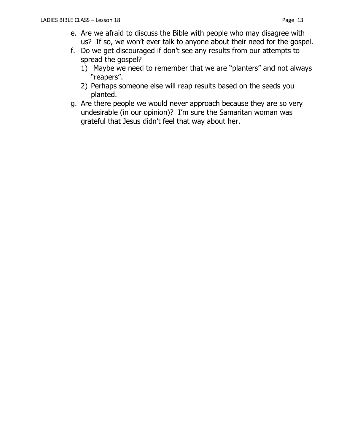- e. Are we afraid to discuss the Bible with people who may disagree with us? If so, we won't ever talk to anyone about their need for the gospel.
- f. Do we get discouraged if don't see any results from our attempts to spread the gospel?
	- 1) Maybe we need to remember that we are "planters" and not always "reapers".
	- 2) Perhaps someone else will reap results based on the seeds you planted.
- g. Are there people we would never approach because they are so very undesirable (in our opinion)? I'm sure the Samaritan woman was grateful that Jesus didn't feel that way about her.